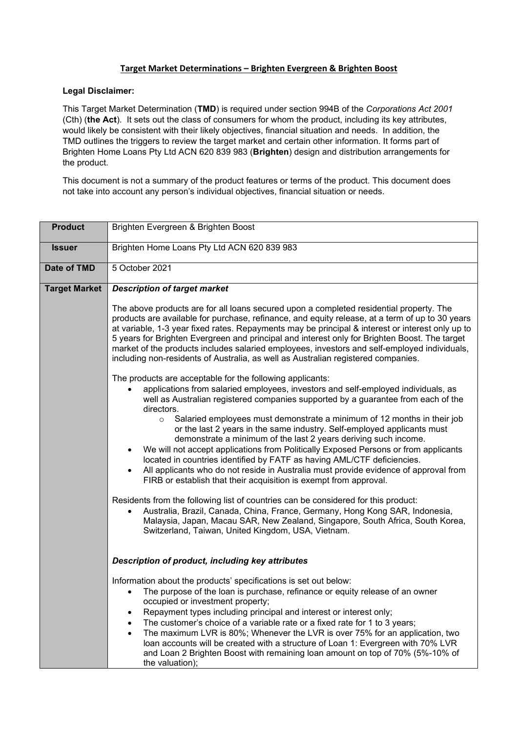## **Target Market Determinations – Brighten Evergreen & Brighten Boost**

## **Legal Disclaimer:**

This Target Market Determination (**TMD**) is required under section 994B of the *Corporations Act 2001* (Cth) (**the Act**). It sets out the class of consumers for whom the product, including its key attributes, would likely be consistent with their likely objectives, financial situation and needs. In addition, the TMD outlines the triggers to review the target market and certain other information. It forms part of Brighten Home Loans Pty Ltd ACN 620 839 983 (**Brighten**) design and distribution arrangements for the product.

This document is not a summary of the product features or terms of the product. This document does not take into account any person's individual objectives, financial situation or needs.

| <b>Product</b>       | Brighten Evergreen & Brighten Boost                                                                                                                                                                                                                                                                                                                                                                                                                                                                                                                                                       |  |  |  |  |
|----------------------|-------------------------------------------------------------------------------------------------------------------------------------------------------------------------------------------------------------------------------------------------------------------------------------------------------------------------------------------------------------------------------------------------------------------------------------------------------------------------------------------------------------------------------------------------------------------------------------------|--|--|--|--|
| <b>Issuer</b>        | Brighten Home Loans Pty Ltd ACN 620 839 983                                                                                                                                                                                                                                                                                                                                                                                                                                                                                                                                               |  |  |  |  |
| Date of TMD          | 5 October 2021                                                                                                                                                                                                                                                                                                                                                                                                                                                                                                                                                                            |  |  |  |  |
| <b>Target Market</b> | <b>Description of target market</b><br>The above products are for all loans secured upon a completed residential property. The                                                                                                                                                                                                                                                                                                                                                                                                                                                            |  |  |  |  |
|                      | products are available for purchase, refinance, and equity release, at a term of up to 30 years<br>at variable, 1-3 year fixed rates. Repayments may be principal & interest or interest only up to<br>5 years for Brighten Evergreen and principal and interest only for Brighten Boost. The target<br>market of the products includes salaried employees, investors and self-employed individuals,<br>including non-residents of Australia, as well as Australian registered companies.                                                                                                 |  |  |  |  |
|                      | The products are acceptable for the following applicants:<br>applications from salaried employees, investors and self-employed individuals, as<br>well as Australian registered companies supported by a guarantee from each of the<br>directors.                                                                                                                                                                                                                                                                                                                                         |  |  |  |  |
|                      | Salaried employees must demonstrate a minimum of 12 months in their job<br>$\circ$<br>or the last 2 years in the same industry. Self-employed applicants must<br>demonstrate a minimum of the last 2 years deriving such income.<br>We will not accept applications from Politically Exposed Persons or from applicants<br>$\bullet$<br>located in countries identified by FATF as having AML/CTF deficiencies.<br>All applicants who do not reside in Australia must provide evidence of approval from<br>$\bullet$<br>FIRB or establish that their acquisition is exempt from approval. |  |  |  |  |
|                      | Residents from the following list of countries can be considered for this product:<br>Australia, Brazil, Canada, China, France, Germany, Hong Kong SAR, Indonesia,<br>$\bullet$<br>Malaysia, Japan, Macau SAR, New Zealand, Singapore, South Africa, South Korea,<br>Switzerland, Taiwan, United Kingdom, USA, Vietnam.                                                                                                                                                                                                                                                                   |  |  |  |  |
|                      | Description of product, including key attributes                                                                                                                                                                                                                                                                                                                                                                                                                                                                                                                                          |  |  |  |  |
|                      | Information about the products' specifications is set out below:<br>The purpose of the loan is purchase, refinance or equity release of an owner<br>$\bullet$<br>occupied or investment property;                                                                                                                                                                                                                                                                                                                                                                                         |  |  |  |  |
|                      | Repayment types including principal and interest or interest only;<br>$\bullet$<br>The customer's choice of a variable rate or a fixed rate for 1 to 3 years;<br>$\bullet$<br>The maximum LVR is 80%; Whenever the LVR is over 75% for an application, two<br>loan accounts will be created with a structure of Loan 1: Evergreen with 70% LVR<br>and Loan 2 Brighten Boost with remaining loan amount on top of 70% (5%-10% of<br>the valuation);                                                                                                                                        |  |  |  |  |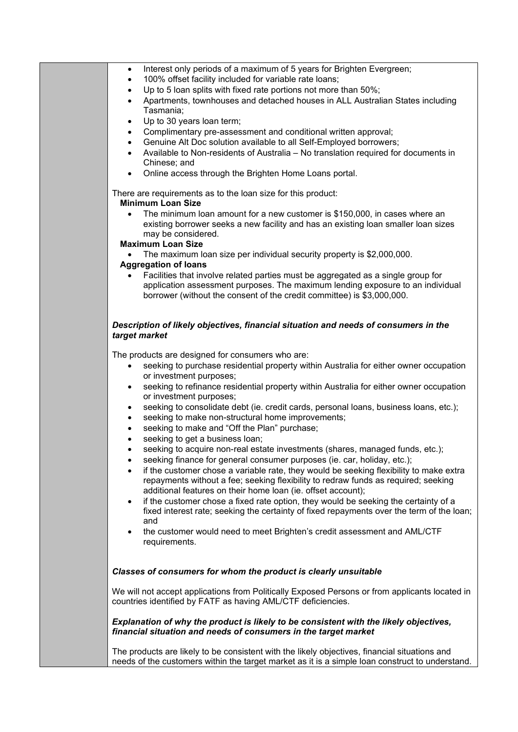| <b>Minimum Loan Size</b><br>The minimum loan amount for a new customer is \$150,000, in cases where an<br>existing borrower seeks a new facility and has an existing loan smaller loan sizes<br>may be considered.<br><b>Maximum Loan Size</b><br>• The maximum loan size per individual security property is \$2,000,000.<br><b>Aggregation of loans</b><br>Facilities that involve related parties must be aggregated as a single group for<br>application assessment purposes. The maximum lending exposure to an individual<br>borrower (without the consent of the credit committee) is \$3,000,000.<br>Description of likely objectives, financial situation and needs of consumers in the<br>target market<br>The products are designed for consumers who are:<br>seeking to purchase residential property within Australia for either owner occupation<br>or investment purposes;<br>seeking to refinance residential property within Australia for either owner occupation<br>٠<br>or investment purposes;<br>seeking to consolidate debt (ie. credit cards, personal loans, business loans, etc.);<br>٠<br>seeking to make non-structural home improvements;<br>$\bullet$<br>seeking to make and "Off the Plan" purchase;<br>$\bullet$<br>seeking to get a business loan;<br>seeking to acquire non-real estate investments (shares, managed funds, etc.);<br>seeking finance for general consumer purposes (ie. car, holiday, etc.);<br>if the customer chose a variable rate, they would be seeking flexibility to make extra<br>repayments without a fee; seeking flexibility to redraw funds as required; seeking<br>additional features on their home loan (ie. offset account);<br>if the customer chose a fixed rate option, they would be seeking the certainty of a<br>$\bullet$<br>fixed interest rate; seeking the certainty of fixed repayments over the term of the loan;<br>and<br>the customer would need to meet Brighten's credit assessment and AML/CTF<br>requirements.<br>Classes of consumers for whom the product is clearly unsuitable<br>We will not accept applications from Politically Exposed Persons or from applicants located in<br>countries identified by FATF as having AML/CTF deficiencies.<br>Explanation of why the product is likely to be consistent with the likely objectives,<br>financial situation and needs of consumers in the target market<br>The products are likely to be consistent with the likely objectives, financial situations and<br>needs of the customers within the target market as it is a simple loan construct to understand. | Interest only periods of a maximum of 5 years for Brighten Evergreen;<br>٠<br>100% offset facility included for variable rate loans;<br>٠<br>Up to 5 loan splits with fixed rate portions not more than 50%;<br>$\bullet$<br>Apartments, townhouses and detached houses in ALL Australian States including<br>$\bullet$<br>Tasmania;<br>Up to 30 years loan term;<br>٠<br>Complimentary pre-assessment and conditional written approval;<br>٠<br>Genuine Alt Doc solution available to all Self-Employed borrowers;<br>$\bullet$<br>Available to Non-residents of Australia - No translation required for documents in<br>Chinese; and<br>Online access through the Brighten Home Loans portal. |
|-----------------------------------------------------------------------------------------------------------------------------------------------------------------------------------------------------------------------------------------------------------------------------------------------------------------------------------------------------------------------------------------------------------------------------------------------------------------------------------------------------------------------------------------------------------------------------------------------------------------------------------------------------------------------------------------------------------------------------------------------------------------------------------------------------------------------------------------------------------------------------------------------------------------------------------------------------------------------------------------------------------------------------------------------------------------------------------------------------------------------------------------------------------------------------------------------------------------------------------------------------------------------------------------------------------------------------------------------------------------------------------------------------------------------------------------------------------------------------------------------------------------------------------------------------------------------------------------------------------------------------------------------------------------------------------------------------------------------------------------------------------------------------------------------------------------------------------------------------------------------------------------------------------------------------------------------------------------------------------------------------------------------------------------------------------------------------------------------------------------------------------------------------------------------------------------------------------------------------------------------------------------------------------------------------------------------------------------------------------------------------------------------------------------------------------------------------------------------------------------------------------------------------------------------------------------------------------------------------------|-------------------------------------------------------------------------------------------------------------------------------------------------------------------------------------------------------------------------------------------------------------------------------------------------------------------------------------------------------------------------------------------------------------------------------------------------------------------------------------------------------------------------------------------------------------------------------------------------------------------------------------------------------------------------------------------------|
|                                                                                                                                                                                                                                                                                                                                                                                                                                                                                                                                                                                                                                                                                                                                                                                                                                                                                                                                                                                                                                                                                                                                                                                                                                                                                                                                                                                                                                                                                                                                                                                                                                                                                                                                                                                                                                                                                                                                                                                                                                                                                                                                                                                                                                                                                                                                                                                                                                                                                                                                                                                                           | There are requirements as to the loan size for this product:                                                                                                                                                                                                                                                                                                                                                                                                                                                                                                                                                                                                                                    |
|                                                                                                                                                                                                                                                                                                                                                                                                                                                                                                                                                                                                                                                                                                                                                                                                                                                                                                                                                                                                                                                                                                                                                                                                                                                                                                                                                                                                                                                                                                                                                                                                                                                                                                                                                                                                                                                                                                                                                                                                                                                                                                                                                                                                                                                                                                                                                                                                                                                                                                                                                                                                           |                                                                                                                                                                                                                                                                                                                                                                                                                                                                                                                                                                                                                                                                                                 |
|                                                                                                                                                                                                                                                                                                                                                                                                                                                                                                                                                                                                                                                                                                                                                                                                                                                                                                                                                                                                                                                                                                                                                                                                                                                                                                                                                                                                                                                                                                                                                                                                                                                                                                                                                                                                                                                                                                                                                                                                                                                                                                                                                                                                                                                                                                                                                                                                                                                                                                                                                                                                           |                                                                                                                                                                                                                                                                                                                                                                                                                                                                                                                                                                                                                                                                                                 |
|                                                                                                                                                                                                                                                                                                                                                                                                                                                                                                                                                                                                                                                                                                                                                                                                                                                                                                                                                                                                                                                                                                                                                                                                                                                                                                                                                                                                                                                                                                                                                                                                                                                                                                                                                                                                                                                                                                                                                                                                                                                                                                                                                                                                                                                                                                                                                                                                                                                                                                                                                                                                           |                                                                                                                                                                                                                                                                                                                                                                                                                                                                                                                                                                                                                                                                                                 |
|                                                                                                                                                                                                                                                                                                                                                                                                                                                                                                                                                                                                                                                                                                                                                                                                                                                                                                                                                                                                                                                                                                                                                                                                                                                                                                                                                                                                                                                                                                                                                                                                                                                                                                                                                                                                                                                                                                                                                                                                                                                                                                                                                                                                                                                                                                                                                                                                                                                                                                                                                                                                           |                                                                                                                                                                                                                                                                                                                                                                                                                                                                                                                                                                                                                                                                                                 |
|                                                                                                                                                                                                                                                                                                                                                                                                                                                                                                                                                                                                                                                                                                                                                                                                                                                                                                                                                                                                                                                                                                                                                                                                                                                                                                                                                                                                                                                                                                                                                                                                                                                                                                                                                                                                                                                                                                                                                                                                                                                                                                                                                                                                                                                                                                                                                                                                                                                                                                                                                                                                           |                                                                                                                                                                                                                                                                                                                                                                                                                                                                                                                                                                                                                                                                                                 |
|                                                                                                                                                                                                                                                                                                                                                                                                                                                                                                                                                                                                                                                                                                                                                                                                                                                                                                                                                                                                                                                                                                                                                                                                                                                                                                                                                                                                                                                                                                                                                                                                                                                                                                                                                                                                                                                                                                                                                                                                                                                                                                                                                                                                                                                                                                                                                                                                                                                                                                                                                                                                           |                                                                                                                                                                                                                                                                                                                                                                                                                                                                                                                                                                                                                                                                                                 |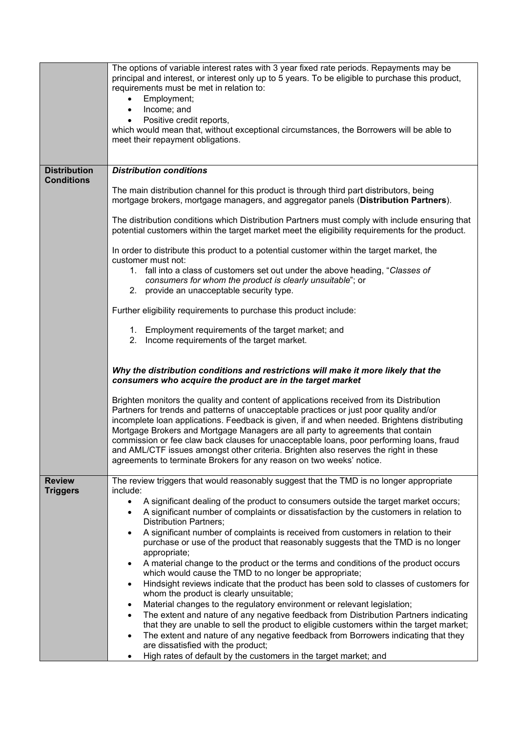|                                  | The options of variable interest rates with 3 year fixed rate periods. Repayments may be<br>principal and interest, or interest only up to 5 years. To be eligible to purchase this product,<br>requirements must be met in relation to:                                                                                                                                                                                                                                                                                                                                                                                         |  |  |  |  |  |
|----------------------------------|----------------------------------------------------------------------------------------------------------------------------------------------------------------------------------------------------------------------------------------------------------------------------------------------------------------------------------------------------------------------------------------------------------------------------------------------------------------------------------------------------------------------------------------------------------------------------------------------------------------------------------|--|--|--|--|--|
|                                  | Employment;<br>Income; and<br>$\bullet$                                                                                                                                                                                                                                                                                                                                                                                                                                                                                                                                                                                          |  |  |  |  |  |
|                                  | Positive credit reports,<br>٠                                                                                                                                                                                                                                                                                                                                                                                                                                                                                                                                                                                                    |  |  |  |  |  |
|                                  | which would mean that, without exceptional circumstances, the Borrowers will be able to<br>meet their repayment obligations.                                                                                                                                                                                                                                                                                                                                                                                                                                                                                                     |  |  |  |  |  |
|                                  |                                                                                                                                                                                                                                                                                                                                                                                                                                                                                                                                                                                                                                  |  |  |  |  |  |
| <b>Distribution</b>              | <b>Distribution conditions</b>                                                                                                                                                                                                                                                                                                                                                                                                                                                                                                                                                                                                   |  |  |  |  |  |
| <b>Conditions</b>                |                                                                                                                                                                                                                                                                                                                                                                                                                                                                                                                                                                                                                                  |  |  |  |  |  |
|                                  | The main distribution channel for this product is through third part distributors, being<br>mortgage brokers, mortgage managers, and aggregator panels (Distribution Partners).                                                                                                                                                                                                                                                                                                                                                                                                                                                  |  |  |  |  |  |
|                                  | The distribution conditions which Distribution Partners must comply with include ensuring that<br>potential customers within the target market meet the eligibility requirements for the product.                                                                                                                                                                                                                                                                                                                                                                                                                                |  |  |  |  |  |
|                                  | In order to distribute this product to a potential customer within the target market, the<br>customer must not:                                                                                                                                                                                                                                                                                                                                                                                                                                                                                                                  |  |  |  |  |  |
|                                  | 1. fall into a class of customers set out under the above heading, "Classes of<br>consumers for whom the product is clearly unsuitable"; or<br>2. provide an unacceptable security type.                                                                                                                                                                                                                                                                                                                                                                                                                                         |  |  |  |  |  |
|                                  | Further eligibility requirements to purchase this product include:                                                                                                                                                                                                                                                                                                                                                                                                                                                                                                                                                               |  |  |  |  |  |
|                                  | 1. Employment requirements of the target market; and<br>2. Income requirements of the target market.                                                                                                                                                                                                                                                                                                                                                                                                                                                                                                                             |  |  |  |  |  |
|                                  | Why the distribution conditions and restrictions will make it more likely that the<br>consumers who acquire the product are in the target market                                                                                                                                                                                                                                                                                                                                                                                                                                                                                 |  |  |  |  |  |
|                                  | Brighten monitors the quality and content of applications received from its Distribution<br>Partners for trends and patterns of unacceptable practices or just poor quality and/or<br>incomplete loan applications. Feedback is given, if and when needed. Brightens distributing<br>Mortgage Brokers and Mortgage Managers are all party to agreements that contain<br>commission or fee claw back clauses for unacceptable loans, poor performing loans, fraud<br>and AML/CTF issues amongst other criteria. Brighten also reserves the right in these<br>agreements to terminate Brokers for any reason on two weeks' notice. |  |  |  |  |  |
| <b>Review</b><br><b>Triggers</b> | The review triggers that would reasonably suggest that the TMD is no longer appropriate<br>include:                                                                                                                                                                                                                                                                                                                                                                                                                                                                                                                              |  |  |  |  |  |
|                                  | A significant dealing of the product to consumers outside the target market occurs;<br>٠                                                                                                                                                                                                                                                                                                                                                                                                                                                                                                                                         |  |  |  |  |  |
|                                  | A significant number of complaints or dissatisfaction by the customers in relation to<br>٠<br><b>Distribution Partners;</b>                                                                                                                                                                                                                                                                                                                                                                                                                                                                                                      |  |  |  |  |  |
|                                  | A significant number of complaints is received from customers in relation to their<br>$\bullet$                                                                                                                                                                                                                                                                                                                                                                                                                                                                                                                                  |  |  |  |  |  |
|                                  | purchase or use of the product that reasonably suggests that the TMD is no longer                                                                                                                                                                                                                                                                                                                                                                                                                                                                                                                                                |  |  |  |  |  |
|                                  | appropriate;<br>A material change to the product or the terms and conditions of the product occurs                                                                                                                                                                                                                                                                                                                                                                                                                                                                                                                               |  |  |  |  |  |
|                                  | $\bullet$<br>which would cause the TMD to no longer be appropriate;                                                                                                                                                                                                                                                                                                                                                                                                                                                                                                                                                              |  |  |  |  |  |
|                                  | Hindsight reviews indicate that the product has been sold to classes of customers for<br>$\bullet$                                                                                                                                                                                                                                                                                                                                                                                                                                                                                                                               |  |  |  |  |  |
|                                  | whom the product is clearly unsuitable;                                                                                                                                                                                                                                                                                                                                                                                                                                                                                                                                                                                          |  |  |  |  |  |
|                                  | Material changes to the regulatory environment or relevant legislation;<br>$\bullet$                                                                                                                                                                                                                                                                                                                                                                                                                                                                                                                                             |  |  |  |  |  |
|                                  | The extent and nature of any negative feedback from Distribution Partners indicating<br>$\bullet$                                                                                                                                                                                                                                                                                                                                                                                                                                                                                                                                |  |  |  |  |  |
|                                  | that they are unable to sell the product to eligible customers within the target market;<br>The extent and nature of any negative feedback from Borrowers indicating that they                                                                                                                                                                                                                                                                                                                                                                                                                                                   |  |  |  |  |  |
|                                  | are dissatisfied with the product;                                                                                                                                                                                                                                                                                                                                                                                                                                                                                                                                                                                               |  |  |  |  |  |
|                                  | High rates of default by the customers in the target market; and<br>٠                                                                                                                                                                                                                                                                                                                                                                                                                                                                                                                                                            |  |  |  |  |  |